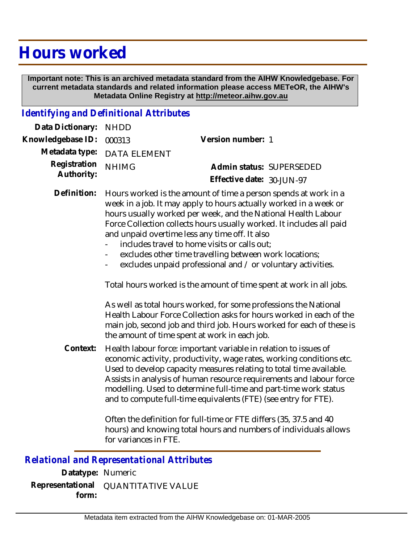## **Hours worked**

 **Important note: This is an archived metadata standard from the AIHW Knowledgebase. For current metadata standards and related information please access METeOR, the AIHW's Metadata Online Registry at http://meteor.aihw.gov.au**

## *Identifying and Definitional Attributes*

| Data Dictionary: NHDD    |                             |                              |  |
|--------------------------|-----------------------------|------------------------------|--|
| Knowledgebase ID: 000313 |                             | Version number: 1            |  |
|                          | Metadata type: DATA ELEMENT |                              |  |
| Registration NHIMG       |                             | Admin status: SUPERSEDED     |  |
| Authority:               |                             | Effective date: $30$ -JUN-97 |  |

Definition: Hours worked is the amount of time a person spends at work in a week in a job. It may apply to hours actually worked in a week or hours usually worked per week, and the National Health Labour Force Collection collects hours usually worked. It includes all paid and unpaid overtime less any time off. It also

- includes travel to home visits or calls out;
- excludes other time travelling between work locations;
- excludes unpaid professional and / or voluntary activities.

Total hours worked is the amount of time spent at work in all jobs.

As well as total hours worked, for some professions the National Health Labour Force Collection asks for hours worked in each of the main job, second job and third job. Hours worked for each of these is the amount of time spent at work in each job.

Health labour force: important variable in relation to issues of economic activity, productivity, wage rates, working conditions etc. Used to develop capacity measures relating to total time available. Assists in analysis of human resource requirements and labour force modelling. Used to determine full-time and part-time work status and to compute full-time equivalents (FTE) (see entry for FTE). **Context:**

> Often the definition for full-time or FTE differs (35, 37.5 and 40 hours) and knowing total hours and numbers of individuals allows for variances in FTE.

## *Relational and Representational Attributes*

**Datatype:** Numeric **Representational** QUANTITATIVE VALUE  **form:**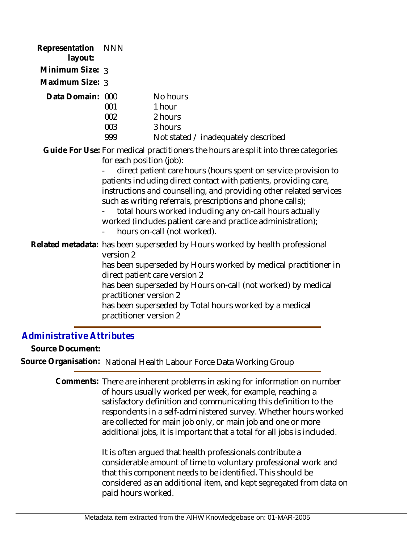| Representation<br>layout: | <b>NNN</b>                                                    |                                                                                                                                                                                                                                                                                                                                                                                                                                                                                                                       |
|---------------------------|---------------------------------------------------------------|-----------------------------------------------------------------------------------------------------------------------------------------------------------------------------------------------------------------------------------------------------------------------------------------------------------------------------------------------------------------------------------------------------------------------------------------------------------------------------------------------------------------------|
| Minimum Size: 3           |                                                               |                                                                                                                                                                                                                                                                                                                                                                                                                                                                                                                       |
| Maximum Size: 3           |                                                               |                                                                                                                                                                                                                                                                                                                                                                                                                                                                                                                       |
| Data Domain: 000          | 001<br>002<br>003<br>999                                      | No hours<br>1 hour<br>2 hours<br>3 hours<br>Not stated / inadequately described                                                                                                                                                                                                                                                                                                                                                                                                                                       |
|                           | for each position (job):                                      | Guide For Use: For medical practitioners the hours are split into three categories<br>direct patient care hours (hours spent on service provision to<br>patients including direct contact with patients, providing care,<br>instructions and counselling, and providing other related services<br>such as writing referrals, prescriptions and phone calls);<br>total hours worked including any on-call hours actually<br>worked (includes patient care and practice administration);<br>hours on-call (not worked). |
|                           | version 2<br>practitioner version 2<br>practitioner version 2 | Related metadata: has been superseded by Hours worked by health professional<br>has been superseded by Hours worked by medical practitioner in<br>direct patient care version 2<br>has been superseded by Hours on-call (not worked) by medical<br>has been superseded by Total hours worked by a medical                                                                                                                                                                                                             |

## *Administrative Attributes*

**Source Document:**

**Source Organisation:** National Health Labour Force Data Working Group

Comments: There are inherent problems in asking for information on number of hours usually worked per week, for example, reaching a satisfactory definition and communicating this definition to the respondents in a self-administered survey. Whether hours worked are collected for main job only, or main job and one or more additional jobs, it is important that a total for all jobs is included.

> It is often argued that health professionals contribute a considerable amount of time to voluntary professional work and that this component needs to be identified. This should be considered as an additional item, and kept segregated from data on paid hours worked.